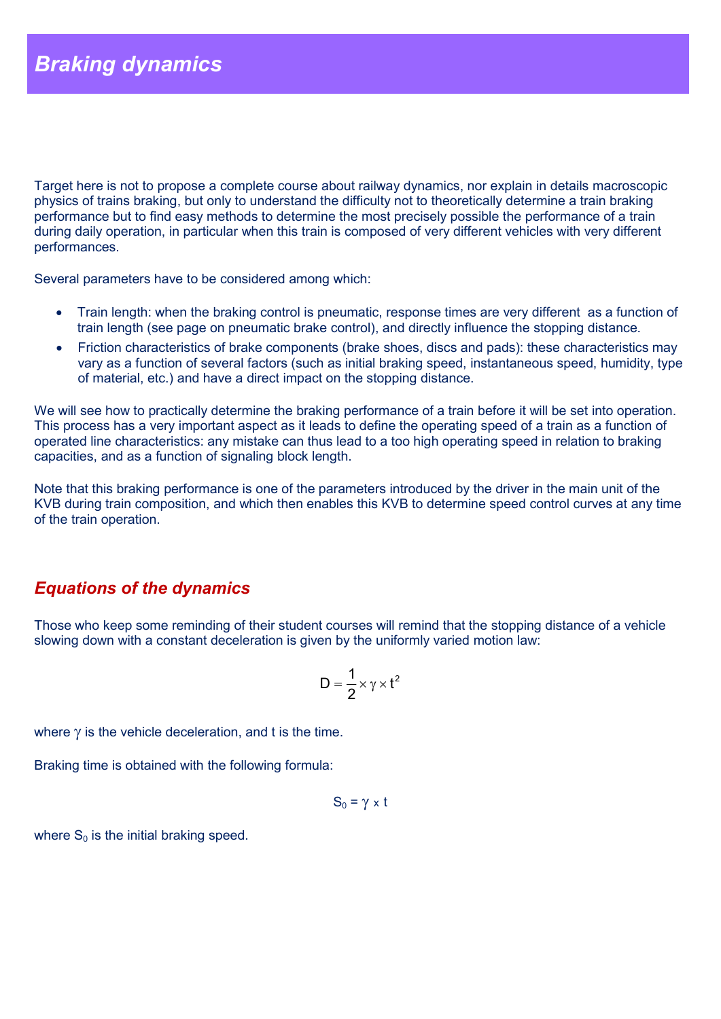Target here is not to propose a complete course about railway dynamics, nor explain in details macroscopic physics of trains braking, but only to understand the difficulty not to theoretically determine a train braking performance but to find easy methods to determine the most precisely possible the performance of a train during daily operation, in particular when this train is composed of very different vehicles with very different performances.

Several parameters have to be considered among which:

- Train length: when the braking control is pneumatic, response times are very different as a function of train length (see page on pneumatic brake control), and directly influence the stopping distance.
- Friction characteristics of brake components (brake shoes, discs and pads): these characteristics may vary as a function of several factors (such as initial braking speed, instantaneous speed, humidity, type of material, etc.) and have a direct impact on the stopping distance.

We will see how to practically determine the braking performance of a train before it will be set into operation. This process has a very important aspect as it leads to define the operating speed of a train as a function of operated line characteristics: any mistake can thus lead to a too high operating speed in relation to braking capacities, and as a function of signaling block length.

Note that this braking performance is one of the parameters introduced by the driver in the main unit of the KVB during train composition, and which then enables this KVB to determine speed control curves at any time of the train operation.

# *Equations of the dynamics*

Those who keep some reminding of their student courses will remind that the stopping distance of a vehicle slowing down with a constant deceleration is given by the uniformly varied motion law:

$$
D=\frac{1}{2}\!\times\!\gamma\!\times\!t^2
$$

where  $\gamma$  is the vehicle deceleration, and t is the time.

Braking time is obtained with the following formula:

$$
S_0 = \gamma \times t
$$

where  $S_0$  is the initial braking speed.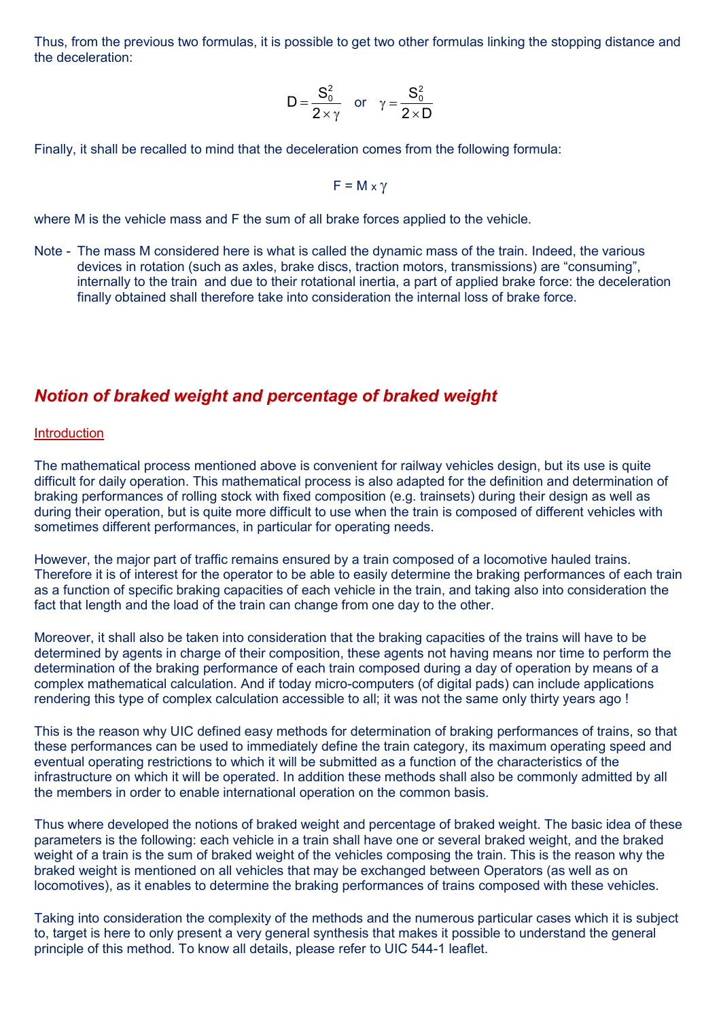Thus, from the previous two formulas, it is possible to get two other formulas linking the stopping distance and the deceleration:

$$
D = \frac{S_0^2}{2 \times \gamma} \quad \text{or} \quad \gamma = \frac{S_0^2}{2 \times D}
$$

Finally, it shall be recalled to mind that the deceleration comes from the following formula:

$$
F = M \times \gamma
$$

where M is the vehicle mass and F the sum of all brake forces applied to the vehicle.

Note - The mass M considered here is what is called the dynamic mass of the train. Indeed, the various devices in rotation (such as axles, brake discs, traction motors, transmissions) are "consuming", internally to the train and due to their rotational inertia, a part of applied brake force: the deceleration finally obtained shall therefore take into consideration the internal loss of brake force.

# *Notion of braked weight and percentage of braked weight*

#### **Introduction**

The mathematical process mentioned above is convenient for railway vehicles design, but its use is quite difficult for daily operation. This mathematical process is also adapted for the definition and determination of braking performances of rolling stock with fixed composition (e.g. trainsets) during their design as well as during their operation, but is quite more difficult to use when the train is composed of different vehicles with sometimes different performances, in particular for operating needs.

However, the major part of traffic remains ensured by a train composed of a locomotive hauled trains. Therefore it is of interest for the operator to be able to easily determine the braking performances of each train as a function of specific braking capacities of each vehicle in the train, and taking also into consideration the fact that length and the load of the train can change from one day to the other.

Moreover, it shall also be taken into consideration that the braking capacities of the trains will have to be determined by agents in charge of their composition, these agents not having means nor time to perform the determination of the braking performance of each train composed during a day of operation by means of a complex mathematical calculation. And if today micro-computers (of digital pads) can include applications rendering this type of complex calculation accessible to all; it was not the same only thirty years ago !

This is the reason why UIC defined easy methods for determination of braking performances of trains, so that these performances can be used to immediately define the train category, its maximum operating speed and eventual operating restrictions to which it will be submitted as a function of the characteristics of the infrastructure on which it will be operated. In addition these methods shall also be commonly admitted by all the members in order to enable international operation on the common basis.

Thus where developed the notions of braked weight and percentage of braked weight. The basic idea of these parameters is the following: each vehicle in a train shall have one or several braked weight, and the braked weight of a train is the sum of braked weight of the vehicles composing the train. This is the reason why the braked weight is mentioned on all vehicles that may be exchanged between Operators (as well as on locomotives), as it enables to determine the braking performances of trains composed with these vehicles.

Taking into consideration the complexity of the methods and the numerous particular cases which it is subject to, target is here to only present a very general synthesis that makes it possible to understand the general principle of this method. To know all details, please refer to UIC 544-1 leaflet.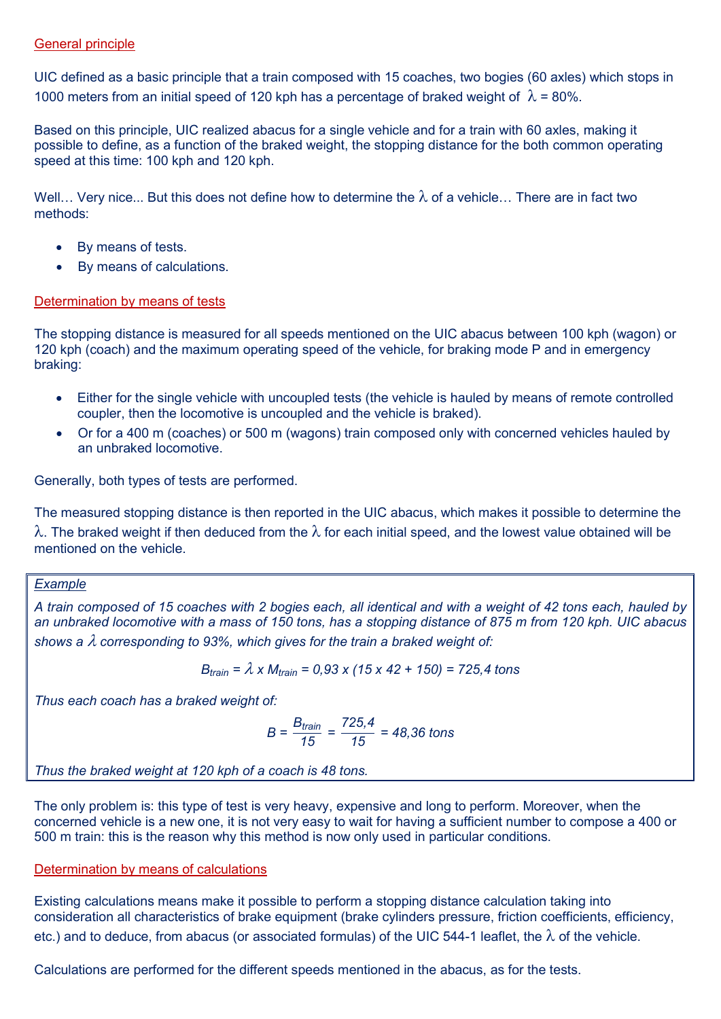#### General principle

UIC defined as a basic principle that a train composed with 15 coaches, two bogies (60 axles) which stops in 1000 meters from an initial speed of 120 kph has a percentage of braked weight of  $\lambda$  = 80%.

Based on this principle, UIC realized abacus for a single vehicle and for a train with 60 axles, making it possible to define, as a function of the braked weight, the stopping distance for the both common operating speed at this time: 100 kph and 120 kph.

Well... Very nice... But this does not define how to determine the  $\lambda$  of a vehicle... There are in fact two methods:

- By means of tests.
- By means of calculations.

## Determination by means of tests

The stopping distance is measured for all speeds mentioned on the UIC abacus between 100 kph (wagon) or 120 kph (coach) and the maximum operating speed of the vehicle, for braking mode P and in emergency braking:

- Either for the single vehicle with uncoupled tests (the vehicle is hauled by means of remote controlled coupler, then the locomotive is uncoupled and the vehicle is braked).
- Or for a 400 m (coaches) or 500 m (wagons) train composed only with concerned vehicles hauled by an unbraked locomotive.

Generally, both types of tests are performed.

The measured stopping distance is then reported in the UIC abacus, which makes it possible to determine the  $\lambda$ . The braked weight if then deduced from the  $\lambda$  for each initial speed, and the lowest value obtained will be mentioned on the vehicle.

## *Example*

*A train composed of 15 coaches with 2 bogies each, all identical and with a weight of 42 tons each, hauled by an unbraked locomotive with a mass of 150 tons, has a stopping distance of 875 m from 120 kph. UIC abacus*  shows a  $\lambda$  corresponding to 93%, which gives for the train a braked weight of:

$$
B_{\text{train}} = \lambda \times M_{\text{train}} = 0.93 \times (15 \times 42 + 150) = 725.4 \text{ tons}
$$

*Thus each coach has a braked weight of:*

$$
B = \frac{B_{\text{train}}}{15} = \frac{725.4}{15} = 48,36 \text{ tons}
$$

*Thus the braked weight at 120 kph of a coach is 48 tons.*

The only problem is: this type of test is very heavy, expensive and long to perform. Moreover, when the concerned vehicle is a new one, it is not very easy to wait for having a sufficient number to compose a 400 or 500 m train: this is the reason why this method is now only used in particular conditions.

## Determination by means of calculations

Existing calculations means make it possible to perform a stopping distance calculation taking into consideration all characteristics of brake equipment (brake cylinders pressure, friction coefficients, efficiency, etc.) and to deduce, from abacus (or associated formulas) of the UIC 544-1 leaflet, the  $\lambda$  of the vehicle.

Calculations are performed for the different speeds mentioned in the abacus, as for the tests.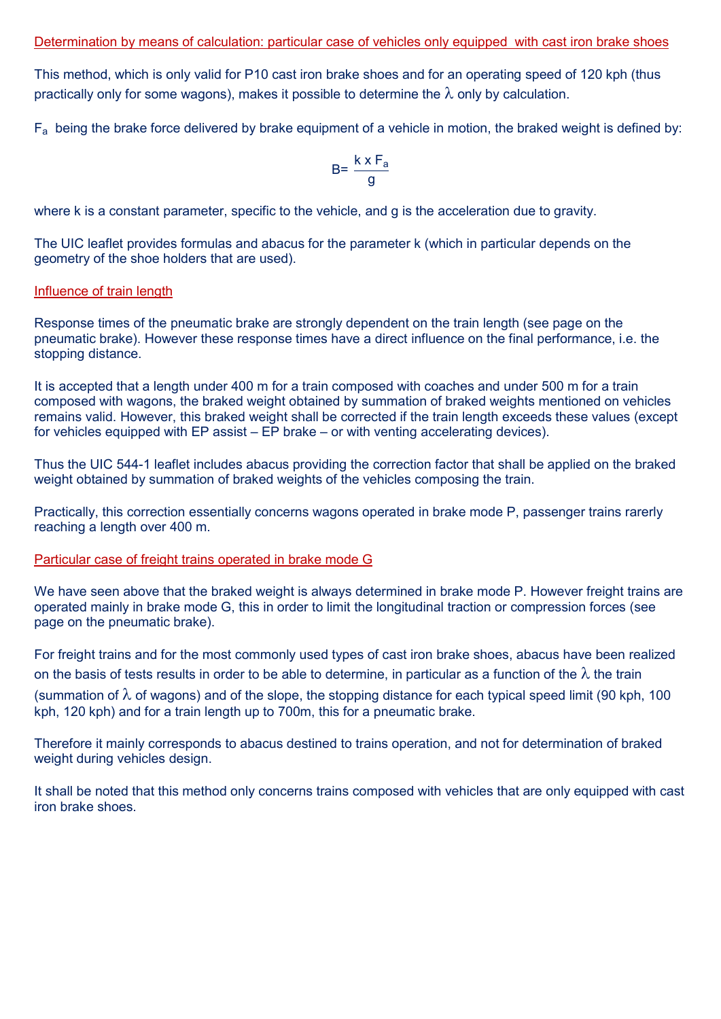This method, which is only valid for P10 cast iron brake shoes and for an operating speed of 120 kph (thus practically only for some wagons), makes it possible to determine the  $\lambda$  only by calculation.

 $F_a$  being the brake force delivered by brake equipment of a vehicle in motion, the braked weight is defined by:

$$
B = \frac{k \times F_a}{g}
$$

where k is a constant parameter, specific to the vehicle, and g is the acceleration due to gravity.

The UIC leaflet provides formulas and abacus for the parameter k (which in particular depends on the geometry of the shoe holders that are used).

#### Influence of train length

Response times of the pneumatic brake are strongly dependent on the train length (see page on the pneumatic brake). However these response times have a direct influence on the final performance, i.e. the stopping distance.

It is accepted that a length under 400 m for a train composed with coaches and under 500 m for a train composed with wagons, the braked weight obtained by summation of braked weights mentioned on vehicles remains valid. However, this braked weight shall be corrected if the train length exceeds these values (except for vehicles equipped with EP assist – EP brake – or with venting accelerating devices).

Thus the UIC 544-1 leaflet includes abacus providing the correction factor that shall be applied on the braked weight obtained by summation of braked weights of the vehicles composing the train.

Practically, this correction essentially concerns wagons operated in brake mode P, passenger trains rarerly reaching a length over 400 m.

#### Particular case of freight trains operated in brake mode G

We have seen above that the braked weight is always determined in brake mode P. However freight trains are operated mainly in brake mode G, this in order to limit the longitudinal traction or compression forces (see page on the pneumatic brake).

For freight trains and for the most commonly used types of cast iron brake shoes, abacus have been realized on the basis of tests results in order to be able to determine, in particular as a function of the  $\lambda$  the train (summation of  $\lambda$  of wagons) and of the slope, the stopping distance for each typical speed limit (90 kph, 100 kph, 120 kph) and for a train length up to 700m, this for a pneumatic brake.

Therefore it mainly corresponds to abacus destined to trains operation, and not for determination of braked weight during vehicles design.

It shall be noted that this method only concerns trains composed with vehicles that are only equipped with cast iron brake shoes.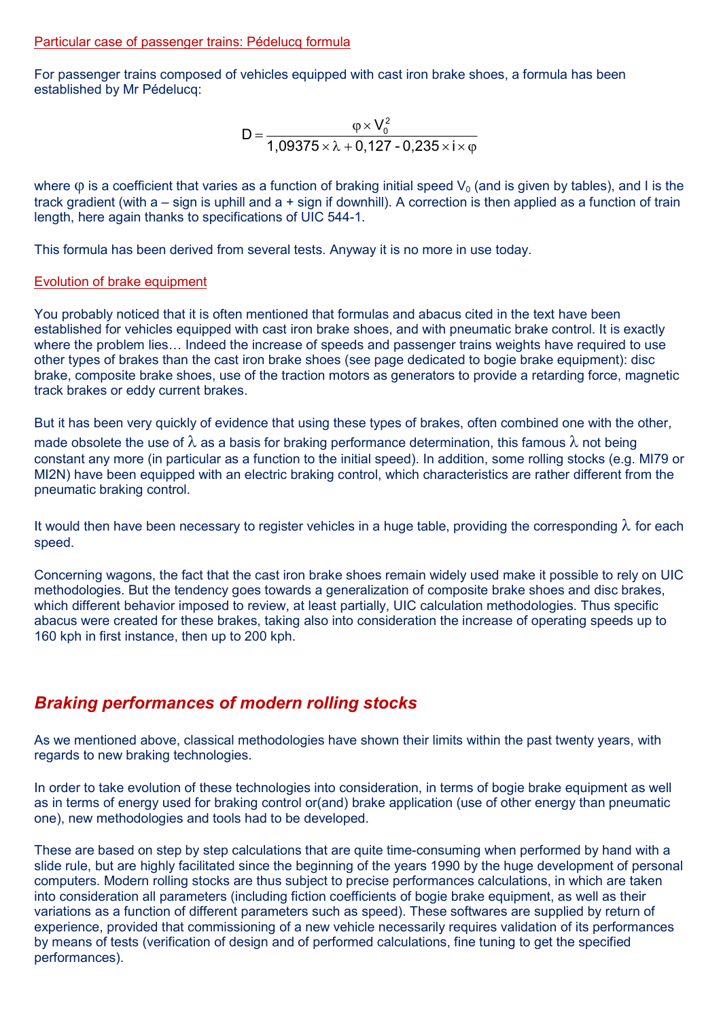#### Particular case of passenger trains: Pédelucq formula

For passenger trains composed of vehicles equipped with cast iron brake shoes, a formula has been established by Mr Pédelucq:

$$
D = \frac{\varphi \times V_0^2}{1,09375 \times \lambda + 0,127 - 0,235 \times i \times \varphi}
$$

where  $\varphi$  is a coefficient that varies as a function of braking initial speed  $V_0$  (and is given by tables), and I is the track gradient (with a – sign is uphill and a + sign if downhill). A correction is then applied as a function of train length, here again thanks to specifications of UIC 544-1.

This formula has been derived from several tests. Anyway it is no more in use today.

#### Evolution of brake equipment

You probably noticed that it is often mentioned that formulas and abacus cited in the text have been established for vehicles equipped with cast iron brake shoes, and with pneumatic brake control. It is exactly where the problem lies… Indeed the increase of speeds and passenger trains weights have required to use other types of brakes than the cast iron brake shoes (see page dedicated to bogie brake equipment): disc brake, composite brake shoes, use of the traction motors as generators to provide a retarding force, magnetic track brakes or eddy current brakes.

But it has been very quickly of evidence that using these types of brakes, often combined one with the other, made obsolete the use of  $\lambda$  as a basis for braking performance determination, this famous  $\lambda$  not being constant any more (in particular as a function to the initial speed). In addition, some rolling stocks (e.g. MI79 or MI2N) have been equipped with an electric braking control, which characteristics are rather different from the pneumatic braking control.

It would then have been necessary to register vehicles in a huge table, providing the corresponding  $\lambda$  for each speed.

Concerning wagons, the fact that the cast iron brake shoes remain widely used make it possible to rely on UIC methodologies. But the tendency goes towards a generalization of composite brake shoes and disc brakes, which different behavior imposed to review, at least partially, UIC calculation methodologies. Thus specific abacus were created for these brakes, taking also into consideration the increase of operating speeds up to 160 kph in first instance, then up to 200 kph.

# *Braking performances of modern rolling stocks*

As we mentioned above, classical methodologies have shown their limits within the past twenty years, with regards to new braking technologies.

In order to take evolution of these technologies into consideration, in terms of bogie brake equipment as well as in terms of energy used for braking control or(and) brake application (use of other energy than pneumatic one), new methodologies and tools had to be developed.

These are based on step by step calculations that are quite time-consuming when performed by hand with a slide rule, but are highly facilitated since the beginning of the years 1990 by the huge development of personal computers. Modern rolling stocks are thus subject to precise performances calculations, in which are taken into consideration all parameters (including fiction coefficients of bogie brake equipment, as well as their variations as a function of different parameters such as speed). These softwares are supplied by return of experience, provided that commissioning of a new vehicle necessarily requires validation of its performances by means of tests (verification of design and of performed calculations, fine tuning to get the specified performances).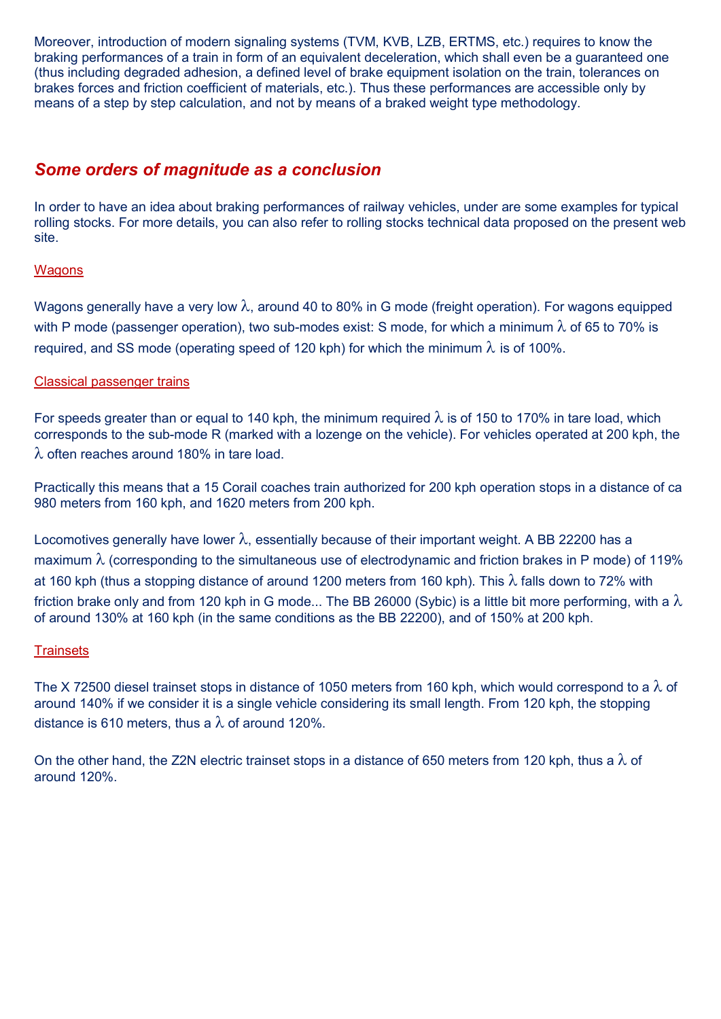Moreover, introduction of modern signaling systems (TVM, KVB, LZB, ERTMS, etc.) requires to know the braking performances of a train in form of an equivalent deceleration, which shall even be a guaranteed one (thus including degraded adhesion, a defined level of brake equipment isolation on the train, tolerances on brakes forces and friction coefficient of materials, etc.). Thus these performances are accessible only by means of a step by step calculation, and not by means of a braked weight type methodology.

# *Some orders of magnitude as a conclusion*

In order to have an idea about braking performances of railway vehicles, under are some examples for typical rolling stocks. For more details, you can also refer to rolling stocks technical data proposed on the present web site.

## **Wagons**

Wagons generally have a very low  $\lambda$ , around 40 to 80% in G mode (freight operation). For wagons equipped with P mode (passenger operation), two sub-modes exist: S mode, for which a minimum  $\lambda$  of 65 to 70% is required, and SS mode (operating speed of 120 kph) for which the minimum  $\lambda$  is of 100%.

## Classical passenger trains

For speeds greater than or equal to 140 kph, the minimum required  $\lambda$  is of 150 to 170% in tare load, which corresponds to the sub-mode R (marked with a lozenge on the vehicle). For vehicles operated at 200 kph, the  $\lambda$  often reaches around 180% in tare load.

Practically this means that a 15 Corail coaches train authorized for 200 kph operation stops in a distance of ca 980 meters from 160 kph, and 1620 meters from 200 kph.

Locomotives generally have lower  $\lambda$ , essentially because of their important weight. A BB 22200 has a maximum  $\lambda$  (corresponding to the simultaneous use of electrodynamic and friction brakes in P mode) of 119% at 160 kph (thus a stopping distance of around 1200 meters from 160 kph). This  $\lambda$  falls down to 72% with friction brake only and from 120 kph in G mode... The BB 26000 (Sybic) is a little bit more performing, with a  $\lambda$ of around 130% at 160 kph (in the same conditions as the BB 22200), and of 150% at 200 kph.

## **Trainsets**

The X 72500 diesel trainset stops in distance of 1050 meters from 160 kph, which would correspond to a  $\lambda$  of around 140% if we consider it is a single vehicle considering its small length. From 120 kph, the stopping distance is 610 meters, thus a  $\lambda$  of around 120%.

On the other hand, the Z2N electric trainset stops in a distance of 650 meters from 120 kph, thus a  $\lambda$  of around 120%.